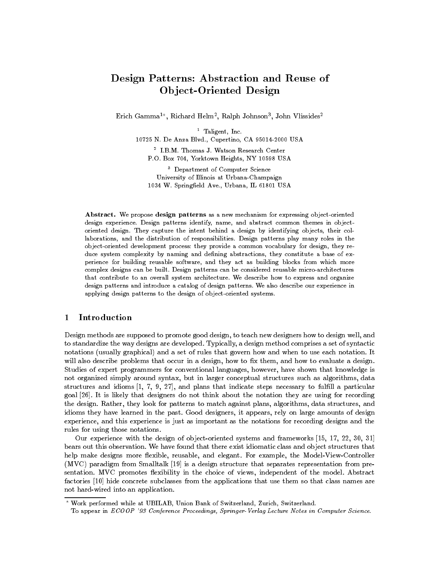# Design Patterns: Abstraction and Reuse of Ob ject-Oriented Design

Erich Gamma<sup>2</sup>, Richard Heim<sup>2</sup>, Ralph Johnson<sup>3</sup>, John Viissides<sup>2</sup>

– Ialigent, Inc.

10725 N. De Anza Blvd., Cupertino, CA 95014-2000 USA

<sup>2</sup> I.B.M. Thomas J. Watson Research Center P.O. Box 704, Yorktown Heights, NY 10598 USA

. Department of Computer Science University of Illinois at Urbana-Champaign 1034 W. Springfield Ave., Urbana, IL 61801 USA

Abstract. We propose design patterns as a new mechanism for expressing object-oriented design experience. Design patterns identify, name, and abstract common themes in objectoriented design. They capture the intent behind a design by identifying ob jects, their collaborations, and the distribution of responsibilities. Design patterns play many roles in the ob ject-oriented development process: they provide a common vocabulary for design, they reduce system complexity by naming and defining abstractions, they constitute a base of experience for building reusable software, and they act as building blocks from which more complex designs can be built. Design patterns can be considered reusable micro-architectures that contribute to an overall system architecture. We describe how to express and organize design patterns and introduce a catalog of design patterns. We also describe our experience in applying design patterns to the design of object-oriented systems.

#### Introduction  $\mathbf{1}$

Design methods are supposed to promote good design, to teach new designers how to design well, and to standardize the way designs are developed. Typically, a design method comprises a set of syntactic notations (usually graphical) and a set of rules that govern how and when to use each notation. It will also describe problems that occur in a design, how to fix them, and how to evaluate a design. Studies of expert programmers for conventional languages, however, have shown that knowledge is not organized simply around syntax, but in larger conceptual structures such as algorithms, data structures and idioms  $[1, 7, 9, 27]$ , and plans that indicate steps necessary to fulfill a particular goal [26]. It is likely that designers do not think about the notation they are using for recording the design. Rather, they look for patterns to match against plans, algorithms, data structures, and idioms they have learned in the past. Good designers, it appears, rely on large amounts of design experience, and this experience is just as important as the notations for recording designs and the rules for using those notations.

Our experience with the design of object-oriented systems and frameworks [15, 17, 22, 30, 31] bears out this observation. We have found that there exist idiomatic class and object structures that help make designs more flexible, reusable, and elegant. For example, the Model-View-Controller (MVC) paradigm from Smalltalk [19] is a design structure that separates representation from presentation. MVC promotes flexibility in the choice of views, independent of the model. Abstract factories [10] hide concrete subclasses from the applications that use them so that class names are not hard-wired into an application.

<sup>?</sup> Work performed while at UBILAB, Union Bank of Switzerland, Zurich, Switzerland.

To appear in ECOOP '93 Conference Proceedings, Springer-Verlag Lecture Notes in Computer Science.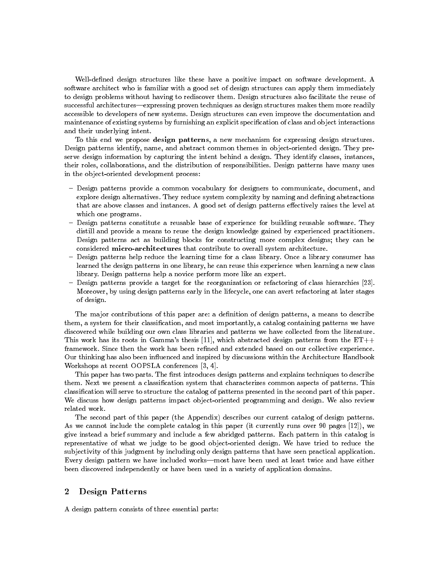Well-defined design structures like these have a positive impact on software development. A software architect who is familiar with a good set of design structures can apply them immediately to design problems without having to rediscover them. Design structures also facilitate the reuse of successful architectures—expressing proven techniques as design structures makes them more readily accessible to developers of new systems. Design structures can even improve the documentation and maintenance of existing systems by furnishing an explicit specification of class and object interactions and their underlying intent.

To this end we propose design patterns, a new mechanism for expressing design structures. Design patterns identify, name, and abstract common themes in object-oriented design. They preserve design information by capturing the intent behind a design. They identify classes, instances, their roles, collaborations, and the distribution of responsibilities. Design patterns have many uses in the object-oriented development process:

- { Design patterns provide a common vocabulary for designers to communicate, document, and explore design alternatives. They reduce system complexity by naming and defining abstractions that are above classes and instances. A good set of design patterns effectively raises the level at which one programs.
- Design patterns constitute a reusable base of experience for building reusable software. They distill and provide a means to reuse the design knowledge gained by experienced practitioners. Design patterns act as building blocks for constructing more complex designs; they can be considered micro-architectures that contribute to overall system architecture.
- { Design patterns help reduce the learning time for a class library. Once a library consumer has learned the design patterns in one library, he can reuse this experience when learning a new class library. Design patterns help a novice perform more like an expert.
- { Design patterns provide a target for the reorganization or refactoring of class hierarchies [23]. Moreover, by using design patterns early in the lifecycle, one can avert refactoring at later stages of design.

The major contributions of this paper are: a definition of design patterns, a means to describe them, a system for their classification, and most importantly, a catalog containing patterns we have discovered while building our own class libraries and patterns we have collected from the literature. This work has its roots in Gamma's thesis [11], which abstracted design patterns from the  $ET++$ framework. Since then the work has been refined and extended based on our collective experience. Our thinking has also been influenced and inspired by discussions within the Architecture Handbook Workshops at recent OOPSLA conferences [3, 4].

This paper has two parts. The first introduces design patterns and explains techniques to describe them. Next we present a classication system that characterizes common aspects of patterns. This classication will serve to structure the catalog of patterns presented in the second part of this paper. We discuss how design patterns impact object-oriented programming and design. We also review related work.

The second part of this paper (the Appendix) describes our current catalog of design patterns. As we cannot include the complete catalog in this paper (it currently runs over 90 pages [12]), we give instead a brief summary and include a few abridged patterns. Each pattern in this catalog is representative of what we judge to be good object-oriented design. We have tried to reduce the subjectivity of this judgment by including only design patterns that have seen practical application. Every design pattern we have included works—most have been used at least twice and have either been discovered independently or have been used in a variety of application domains.

## 2 Design Patterns

A design pattern consists of three essential parts: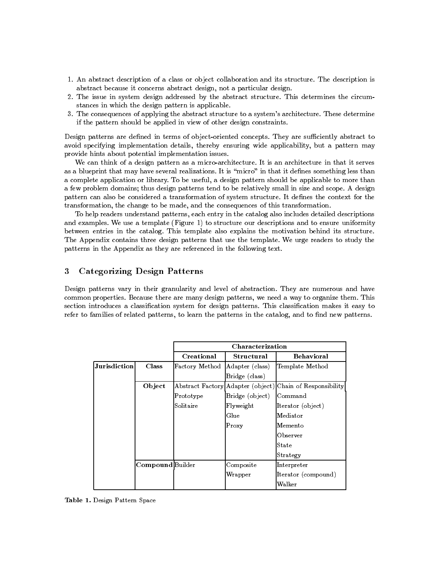- 1. An abstract description of a class or object collaboration and its structure. The description is abstract because it concerns abstract design, not a particular design.
- 2. The issue in system design addressed by the abstract structure. This determines the circumstances in which the design pattern is applicable.
- 3. The consequences of applying the abstract structure to a system's architecture. These determine if the pattern should be applied in view of other design constraints.

Design patterns are defined in terms of object-oriented concepts. They are sufficiently abstract to avoid specifying implementation details, thereby ensuring wide applicability, but a pattern may provide hints about potential implementation issues.

We can think of a design pattern as a micro-architecture. It is an architecture in that it serves as a blueprint that may have several realizations. It is "micro" in that it defines something less than a complete application or library. To be useful, a design pattern should be applicable to more than a few problem domains; thus design patterns tend to be relatively small in size and scope. A design pattern can also be considered a transformation of system structure. It defines the context for the transformation, the change to be made, and the consequences of this transformation.

To help readers understand patterns, each entry in the catalog also includes detailed descriptions and examples. We use a template (Figure 1) to structure our descriptions and to ensure uniformity between entries in the catalog. This template also explains the motivation behind its structure. The Appendix contains three design patterns that use the template. We urge readers to study the patterns in the Appendix as they are referenced in the following text.

## 3 Categorizing Design Patterns

Design patterns vary in their granularity and level of abstraction. They are numerous and have common properties. Because there are many design patterns, we need a way to organize them. This section introduces a classication system for design patterns. This classication makes it easy to refer to families of related patterns, to learn the patterns in the catalog, and to find new patterns.

|              |                  | Characterization |                 |                                                           |
|--------------|------------------|------------------|-----------------|-----------------------------------------------------------|
|              |                  | Creational       | Structural      | <b>Behavioral</b>                                         |
| Jurisdiction | <b>Class</b>     | Factory Method   | Adapter (class) | Template Method                                           |
|              |                  |                  | Bridge (class)  |                                                           |
|              | Object           |                  |                 | Abstract Factory Adapter (object) Chain of Responsibility |
|              |                  | Prototype        | Bridge (object) | Command                                                   |
|              |                  | Solitaire        | Flyweight       | Iterator (object)                                         |
|              |                  |                  | Glue            | Mediator                                                  |
|              |                  |                  | Proxy           | Memento                                                   |
|              |                  |                  |                 | Observer                                                  |
|              |                  |                  |                 | $\operatorname{State}$                                    |
|              |                  |                  |                 | Strategy                                                  |
|              | Compound Builder |                  | Composite       | Interpreter                                               |
|              |                  |                  | Wrapper         | Iterator (compound)                                       |
|              |                  |                  |                 | Walker                                                    |

Table 1. Design Pattern Space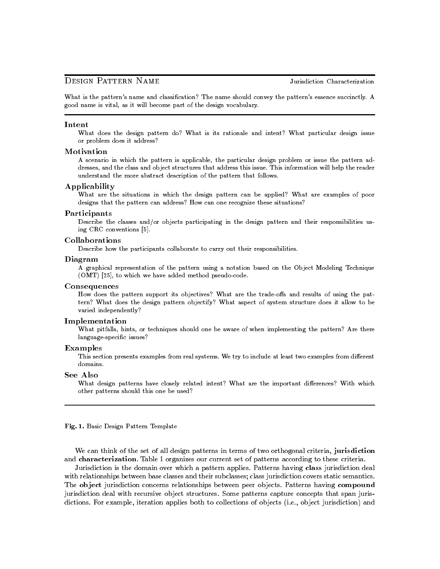## DESIGN PATTERN NAME

What is the pattern's name and classication? The name should convey the pattern's essence succinctly. A good name is vital, as it will become part of the design vocabulary.

#### Intent

What does the design pattern do? What is its rationale and intent? What particular design issue or problem does it address?

#### Motivation

A scenario in which the pattern is applicable, the particular design problem or issue the pattern addresses, and the class and object structures that address this issue. This information will help the reader understand the more abstract description of the pattern that follows.

#### Applicability

What are the situations in which the design pattern can be applied? What are examples of poor designs that the pattern can address? How can one recognize these situations?

#### Participants

Describe the classes and/or objects participating in the design pattern and their responsibilities using CRC conventions [5].

#### Collaborations

Describe how the participants collaborate to carry out their responsibilities.

#### Diagram

A graphical representation of the pattern using a notation based on the Object Modeling Technique (OMT) [25], to which we have added method pseudo-code.

#### Consequences

How does the pattern support its objectives? What are the trade-offs and results of using the pattern? What does the design pattern objectify? What aspect of system structure does it allow to be varied independently?

#### Implementation

What pitfalls, hints, or techniques should one be aware of when implementing the pattern? Are there language-specific issues?

#### Examples

This section presents examples from real systems. We try to include at least two examples from different domains.

#### See Also

What design patterns have closely related intent? What are the important differences? With which other patterns should this one be used?

Fig. 1. Basic Design Pattern Template

We can think of the set of all design patterns in terms of two orthogonal criteria, jurisdiction and characterization. Table 1 organizes our current set of patterns according to these criteria.

Jurisdiction is the domain over which a pattern applies. Patterns having class jurisdiction deal with relationships between base classes and their subclasses; class jurisdiction covers static semantics. The object jurisdiction concerns relationships between peer objects. Patterns having compound jurisdiction deal with recursive object structures. Some patterns capture concepts that span jurisdictions. For example, iteration applies both to collections of objects (i.e., object jurisdiction) and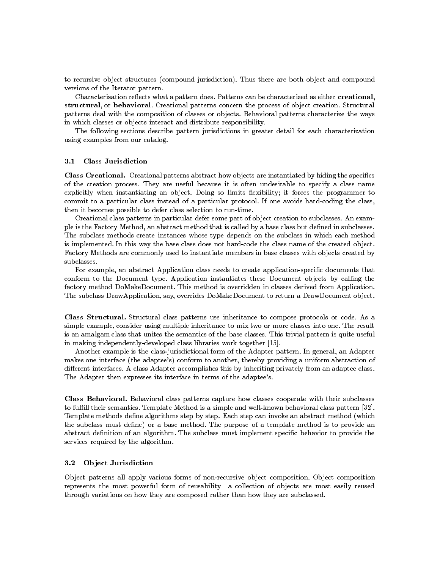to recursive object structures (compound jurisdiction). Thus there are both object and compound versions of the Iterator pattern.

Characterization reflects what a pattern does. Patterns can be characterized as either creational, structural, or behavioral. Creational patterns concern the process of object creation. Structural patterns deal with the composition of classes or objects. Behavioral patterns characterize the ways in which classes or objects interact and distribute responsibility.

The following sections describe pattern jurisdictions in greater detail for each characterization using examples from our catalog.

#### 3.1 Class Jurisdiction

Class Creational. Creational patterns abstract how objects are instantiated by hiding the specics of the creation process. They are useful because it is often undesirable to specify a class name explicitly when instantiating an object. Doing so limits flexibility; it forces the programmer to commit to a particular class instead of a particular protocol. If one avoids hard-coding the class, then it becomes possible to defer class selection to run-time.

Creational class patterns in particular defer some part of object creation to subclasses. An example is the Factory Method, an abstract method that is called by a base class but defined in subclasses. The subclass methods create instances whose type depends on the subclass in which each method is implemented. In this way the base class does not hard-code the class name of the created object. Factory Methods are commonly used to instantiate members in base classes with objects created by subclasses.

For example, an abstract Application class needs to create application-specic documents that conform to the Document type. Application instantiates these Document objects by calling the factory method DoMakeDocument. This method is overridden in classes derived from Application. The subclass DrawApplication, say, overrides DoMakeDocument to return a DrawDocument object.

Class Structural. Structural class patterns use inheritance to compose protocols or code. As a simple example, consider using multiple inheritance to mix two or more classes into one. The result is an amalgam class that unites the semantics of the base classes. This trivial pattern is quite useful in making independently-developed class libraries work together [15].

Another example is the class-jurisdictional form of the Adapter pattern. In general, an Adapter makes one interface (the adaptee's) conform to another, thereby providing a uniform abstraction of different interfaces. A class Adapter accomplishes this by inheriting privately from an adaptee class. The Adapter then expresses its interface in terms of the adaptee's.

Class Behavioral. Behavioral class patterns capture how classes cooperate with their subclasses to fulll their semantics. Template Method is a simple and well-known behavioral class pattern [32]. Template methods define algorithms step by step. Each step can invoke an abstract method (which the subclass must define) or a base method. The purpose of a template method is to provide an abstract definition of an algorithm. The subclass must implement specific behavior to provide the services required by the algorithm.

## 3.2 Ob ject Jurisdiction

Object patterns all apply various forms of non-recursive object composition. Object composition represents the most powerful form of reusability-a collection of objects are most easily reused through variations on how they are composed rather than how they are subclassed.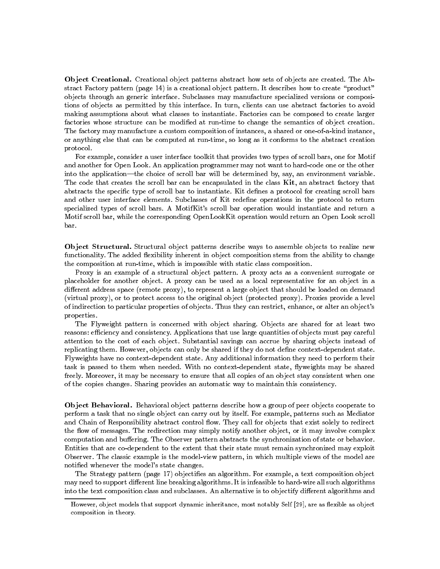Ob ject Creational. Creational object patterns abstract how sets of objects are created. The Abstract Factory pattern (page  $14$ ) is a creational object pattern. It describes how to create "product" objects through an generic interface. Subclasses may manufacture specialized versions or compositions of objects as permitted by this interface. In turn, clients can use abstract factories to avoid making assumptions about what classes to instantiate. Factories can be composed to create larger factories whose structure can be modified at run-time to change the semantics of object creation. The factory may manufacture a custom composition of instances, a shared or one-of-a-kind instance, or anything else that can be computed at run-time, so long as it conforms to the abstract creation protocol. protocol.

For example, consider a user interface toolkit that provides two types of scroll bars, one for Motif and another for Open Look. An application programmer may not want to hard-code one or the other into the application—the choice of scroll bar will be determined by, say, an environment variable. The code that creates the scroll bar can be encapsulated in the class Kit, an abstract factory that abstracts the specific type of scroll bar to instantiate. Kit defines a protocol for creating scroll bars and other user interface elements. Subclasses of Kit redene operations in the protocol to return specialized types of scroll bars. A MotifKit's scroll bar operation would instantiate and return a Motif scroll bar, while the corresponding OpenLookKit operation would return an Open Look scroll bar.

Object Structural. Structural object patterns describe ways to assemble objects to realize new functionality. The added flexibility inherent in object composition stems from the ability to change the composition at run-time, which is impossible with static class composition .

Proxy is an example of a structural object pattern. A proxy acts as a convenient surrogate or placeholder for another object. A proxy can be used as a local representative for an object in a different address space (remote proxy), to represent a large object that should be loaded on demand (virtual proxy), or to protect access to the original object (protected proxy). Proxies provide a level of indirection to particular properties of objects. Thus they can restrict, enhance, or alter an object's properties.

The Flyweight pattern is concerned with object sharing. Objects are shared for at least two reasons: efficiency and consistency. Applications that use large quantities of objects must pay careful attention to the cost of each object. Substantial savings can accrue by sharing objects instead of replicating them. However, objects can only be shared if they do not define context-dependent state. Flyweights have no context-dependent state. Any additional information they need to perform their task is passed to them when needed. With no context-dependent state, flyweights may be shared freely. Moreover, it may be necessary to ensure that all copies of an object stay consistent when one of the copies changes. Sharing provides an automatic way to maintain this consistency.

Object Behavioral. Behavioral object patterns describe how a group of peer objects cooperate to perform a task that no single object can carry out by itself. For example, patterns such as Mediator and Chain of Responsibility abstract control flow. They call for objects that exist solely to redirect the flow of messages. The redirection may simply notify another object, or it may involve complex computation and buffering. The Observer pattern abstracts the synchronization of state or behavior. Entities that are co-dependent to the extent that their state must remain synchronized may exploit Observer. The classic example is the model-view pattern, in which multiple views of the model are notied whenever the model's state changes.

The Strategy pattern (page 17) objecties an algorithm. For example, a text composition object may need to support different line breaking algorithms. It is infeasible to hard-wire all such algorithms into the text composition class and subclasses. An alternative is to objectify different algorithms and

However, object models that support dynamic inheritance, most notably Self [29], are as flexible as object composition in theory.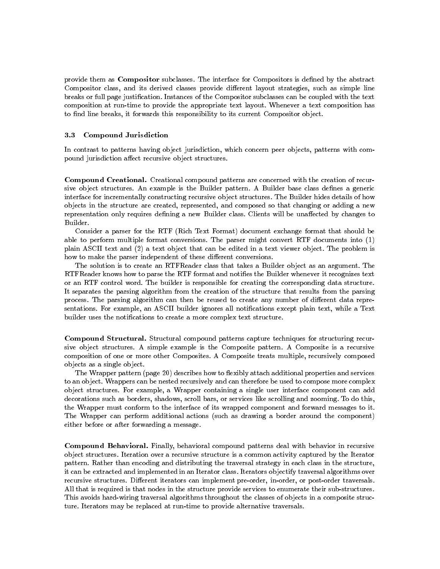provide them as Compositor subclasses. The interface for Compositors is defined by the abstract Compositor class, and its derived classes provide different layout strategies, such as simple line breaks or full page justication. Instances of the Compositor subclasses can be coupled with the text composition at run-time to provide the appropriate text layout. Whenever a text composition has to find line breaks, it forwards this responsibility to its current Compositor object.

## 3.3 Compound Jurisdiction

In contrast to patterns having object jurisdiction, which concern peer objects, patterns with compound jurisdiction affect recursive object structures.

Compound Creational. Creational compound patterns are concerned with the creation of recursive object structures. An example is the Builder pattern. A Builder base class defines a generic interface for incrementally constructing recursive object structures. The Builder hides details of how objects in the structure are created, represented, and composed so that changing or adding a new representation only requires defining a new Builder class. Clients will be unaffected by changes to Builder.

Consider a parser for the RTF (Rich Text Format) document exchange format that should be able to perform multiple format conversions. The parser might convert RTF documents into (1) plain ASCII text and (2) a text object that can be edited in a text viewer object. The problem is how to make the parser independent of these different conversions.

The solution is to create an RTFReader class that takes a Builder object as an argument. The RTFReader knows how to parse the RTF format and noties the Builder whenever it recognizes text or an RTF control word. The builder is responsible for creating the corresponding data structure. It separates the parsing algorithm from the creation of the structure that results from the parsing process. The parsing algorithm can then be reused to create any number of different data representations. For example, an ASCII builder ignores all notifications except plain text, while a Text builder uses the notifications to create a more complex text structure.

Compound Structural. Structural compound patterns capture techniques for structuring recursive object structures. A simple example is the Composite pattern. A Composite is a recursive composition of one or more other Composites. A Composite treats multiple, recursively composed objects as a single object.

The Wrapper pattern (page 20) describes how to flexibly attach additional properties and services to an object. Wrappers can be nested recursively and can therefore be used to compose more complex object structures. For example, a Wrapper containing a single user interface component can add decorations such as borders, shadows, scroll bars, or services like scrolling and zooming. To do this, the Wrapper must conform to the interface of its wrapped component and forward messages to it. The Wrapper can perform additional actions (such as drawing a border around the component) either before or after forwarding a message.

Compound Behavioral. Finally, behavioral compound patterns deal with behavior in recursive object structures. Iteration over a recursive structure is a common activity captured by the Iterator pattern. Rather than encoding and distributing the traversal strategy in each class in the structure, it can be extracted and implemented in an Iterator class. Iterators objectify traversal algorithms over recursive structures. Different iterators can implement pre-order, in-order, or post-order traversals. All that is required is that nodes in the structure provide services to enumerate their sub-structures. This avoids hard-wiring traversal algorithms throughout the classes of objects in a composite structure. Iterators may be replaced at run-time to provide alternative traversals.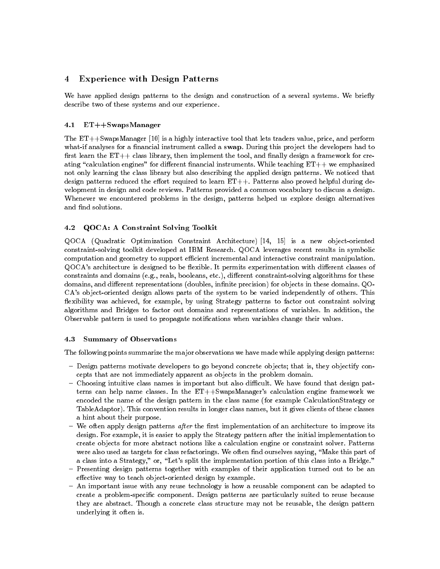## 4 Experience with Design Patterns

We have applied design patterns to the design and construction of a several systems. We briefly describe two of these systems and our experience.

## 4.1 ET++SwapsManager

The ET++SwapsManager [10] is a highly interactive tool that lets traders value, price, and perform what-if analyses for a financial instrument called a swap. During this project the developers had to first learn the  $ET++$  class library, then implement the tool, and finally design a framework for creating "calculation engines" for different financial instruments. While teaching  $ET++$  we emphasized not only learning the class library but also describing the applied design patterns. We noticed that design patterns reduced the effort required to learn  $ET++$ . Patterns also proved helpful during development in design and code reviews. Patterns provided a common vocabulary to discuss a design. Whenever we encountered problems in the design, patterns helped us explore design alternatives and find solutions.

## 4.2 QOCA: A Constraint Solving Toolkit

QOCA (Quadratic Optimization Constraint Architecture) [14, 15] is a new object-oriented constraint-solving toolkit developed at IBM Research. QOCA leverages recent results in symbolic computation and geometry to support efficient incremental and interactive constraint manipulation. QOCA's architecture is designed to be flexible. It permits experimentation with different classes of constraints and domains (e.g., reals, booleans, etc.), different constraint-solving algorithms for these domains, and different representations (doubles, infinite precision) for objects in these domains. QO-CA's object-oriented design allows parts of the system to be varied independently of others. This flexibility was achieved, for example, by using Strategy patterns to factor out constraint solving algorithms and Bridges to factor out domains and representations of variables. In addition, the Observable pattern is used to propagate notications when variables change their values.

## 4.3 Summary of Observations

The following points summarize the major observations we have made while applying design patterns:

- { Design patterns motivate developers to go beyond concrete objects; that is, they objectify concepts that are not immediately apparent as objects in the problem domain.
- Choosing intuitive class names is important but also difficult. We have found that design patterns can help name classes. In the ET++SwapsManager's calculation engine framework we encoded the name of the design pattern in the class name (for example CalculationStrategy or TableAdaptor). This convention results in longer class names, but it gives clients of these classes a hint about their purpose.
- $-$  We often apply design patterns after the first implementation of an architecture to improve its design. For example, it is easier to apply the Strategy pattern after the initial implementation to create objects for more abstract notions like a calculation engine or constraint solver. Patterns were also used as targets for class refactorings. We often find ourselves saying, "Make this part of a class into a Strategy," or, "Let's split the implementation portion of this class into a Bridge."
- Presenting design patterns together with examples of their application turned out to be an effective way to teach object-oriented design by example.
- { An important issue with any reuse technology is how a reusable component can be adapted to create a problem-specic component. Design patterns are particularly suited to reuse because they are abstract. Though a concrete class structure may not be reusable, the design pattern underlying it often is.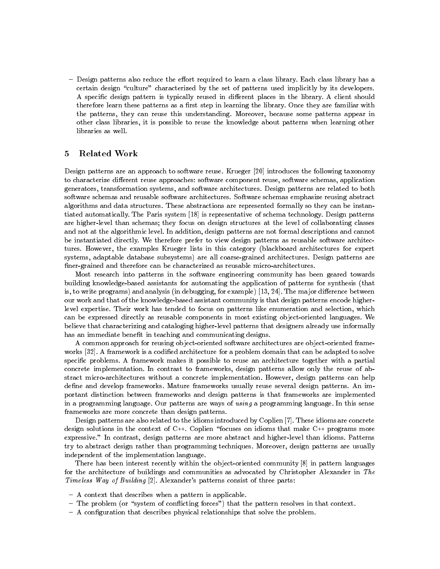- Design patterns also reduce the effort required to learn a class library. Each class library has a certain design "culture" characterized by the set of patterns used implicitly by its developers. A specific design pattern is typically reused in different places in the library. A client should therefore learn these patterns as a first step in learning the library. Once they are familiar with the patterns, they can reuse this understanding. Moreover, because some patterns appear in other class libraries, it is possible to reuse the knowledge about patterns when learning other libraries as well.

## 5 Related Work

Design patterns are an approach to software reuse. Krueger [20] introduces the following taxonomy to characterize different reuse approaches: software component reuse, software schemas, application generators, transformation systems, and software architectures. Design patterns are related to both software schemas and reusable software architectures. Software schemas emphasize reusing abstract algorithms and data structures. These abstractions are represented formally so they can be instantiated automatically. The Paris system [18] is representative of schema technology. Design patterns are higher-level than schemas; they focus on design structures at the level of collaborating classes and not at the algorithmic level. In addition, design patterns are not formal descriptions and cannot be instantiated directly. We therefore prefer to view design patterns as reusable software architectures. However, the examples Krueger lists in this category (blackboard architectures for expert systems, adaptable database subsystems) are all coarse-grained architectures. Design patterns are finer-grained and therefore can be characterized as reusable micro-architectures.

Most research into patterns in the software engineering community has been geared towards building knowledge-based assistants for automating the application of patterns for synthesis (that is, to write programs) and analysis (in debugging, for example)  $[13, 24]$ . The major difference between our work and that of the knowledge-based assistant community is that design patterns encode higherlevel expertise. Their work has tended to focus on patterns like enumeration and selection, which can be expressed directly as reusable components in most existing object-oriented languages. We believe that characterizing and cataloging higher-level patterns that designers already use informally has an immediate benefit in teaching and communicating designs.

A common approach for reusing object-oriented software architectures are object-oriented frame works [32]. A framework is a codified architecture for a problem domain that can be adapted to solve specic problems. A framework makes it possible to reuse an architecture together with a partial concrete implementation. In contrast to frameworks, design patterns allow only the reuse of abstract micro-architectures without a concrete implementation. However, design patterns can help define and develop frameworks. Mature frameworks usually reuse several design patterns. An important distinction between frameworks and design patterns is that frameworks are implemented in a programming language. Our patterns are ways of using a programming language. In this sense frameworks are more concrete than design patterns.

Design patterns are also related to the idioms introduced by Coplien [7]. These idioms are concrete design solutions in the context of  $C^{++}$ . Coplien "focuses on idioms that make  $C^{++}$  programs more expressive." In contrast, design patterns are more abstract and higher-level than idioms. Patterns try to abstract design rather than programming techniques. Moreover, design patterns are usually independent of the implementation language.

There has been interest recently within the object-oriented community [8] in pattern languages for the architecture of buildings and communities as advocated by Christopher Alexander in The Timeless Way of Building [2]. Alexander's patterns consist of three parts:

- A context that describes when a pattern is applicable.
- The problem (or "system of conflicting forces") that the pattern resolves in that context.
- $-$  A configuration that describes physical relationships that solve the problem.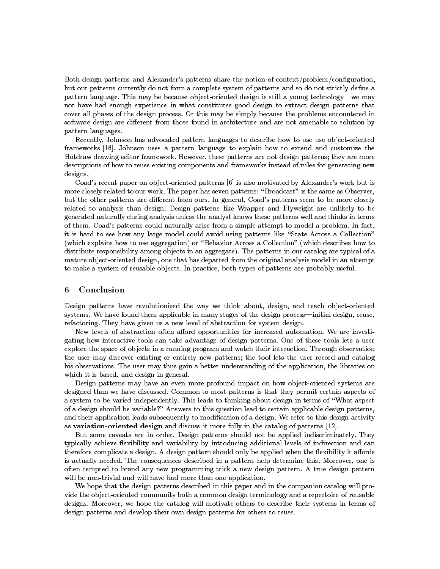Both design patterns and Alexander's patterns share the notion of context/problem/configuration, but our patterns currently do not form a complete system of patterns and so do not strictly define a pattern language. This may be because object-oriented design is still a young technology—we may not have had enough experience in what constitutes good design to extract design patterns that cover all phases of the design process. Or this may be simply because the problems encountered in software design are different from those found in architecture and are not amenable to solution by pattern languages.

Recently, Johnson has advocated pattern languages to describe how to use use object-oriented frameworks [16]. Johnson uses a pattern language to explain how to extend and customize the Hotdraw drawing editor framework. However, these patterns are not design patterns; they are more descriptions of how to reuse existing components and frameworks instead of rules for generating new designs.

Coad's recent paper on object-oriented patterns [6] is also motivated by Alexander's work but is more closely related to our work. The paper has seven patterns: "Broadcast" is the same as Observer, but the other patterns are different from ours. In general, Coad's patterns seem to be more closely related to analysis than design. Design patterns like Wrapper and Flyweight are unlikely to be generated naturally during analysis unless the analyst knows these patterns well and thinks in terms of them. Coad's patterns could naturally arise from a simple attempt to model a problem. In fact, it is hard to see how any large model could avoid using patterns like "State Across a Collection" (which explains how to use aggregation) or "Behavior Across a Collection" (which describes how to distribute responsibility among objects in an aggregate). The patterns in our catalog are typical of a mature object-oriented design, one that has departed from the original analysis model in an attempt to make a system of reusable objects. In practice, both types of patterns are probably useful.

### 6

Design patterns have revolutionized the way we think about, design, and teach object-oriented systems. We have found them applicable in many stages of the design process—initial design, reuse, refactoring. They have given us a new level of abstraction for system design.

New levels of abstraction often afford opportunities for increased automation. We are investigating how interactive tools can take advantage of design patterns. One of these tools lets a user explore the space of objects in a running program and watch their interaction. Through observation the user may discover existing or entirely new patterns; the tool lets the user record and catalog his observations. The user may thus gain a better understanding of the application, the libraries on which it is based, and design in general.

Design patterns may have an even more profound impact on how object-oriented systems are designed than we have discussed. Common to most patterns is that they permit certain aspects of a system to be varied independently. This leads to thinking about design in terms of \What aspect of a design should be variable?" Answers to this question lead to certain applicable design patterns, and their application leads subsequently to modification of a design. We refer to this design activity as variation-oriented design and discuss it more fully in the catalog of patterns [12].

But some caveats are in order. Design patterns should not be applied indiscriminately. They typically achieve flexibility and variability by introducing additional levels of indirection and can therefore complicate a design. A design pattern should only be applied when the flexibility it affords is actually needed. The consequences described in a pattern help determine this. Moreover, one is often tempted to brand any new programming trick a new design pattern. A true design pattern will be non-trivial and will have had more than one application.

We hope that the design patterns described in this paper and in the companion catalog will provide the object-oriented community both a common design terminology and a repertoire of reusable designs. Moreover, we hope the catalog will motivate others to describe their systems in terms of design patterns and develop their own design patterns for others to reuse.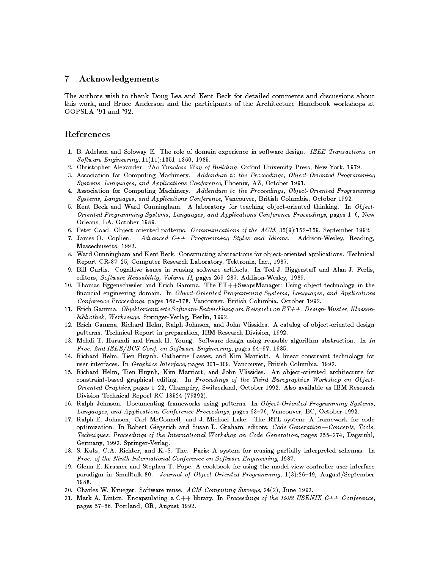## 7 Acknowledgements

The authors wish to thank Doug Lea and Kent Beck for detailed comments and discussions about this work, and Bruce Anderson and the participants of the Architecture Handbook workshops at OOPSLA '91 and '92.

### References

- 1. B. Adelson and Soloway E. The role of domain experience in software design. IEEE Transactions on  $S$  .  $I$  we have Eq. (11):1351; 11(1):1351; 11:1351; 1360, 1350, 1360, 1360, 1360, 1360, 1360, 1375. 1375. 1375. 1375. 1375. 1375. 1375. 1375. 1375. 1375. 1375. 1375. 1375. 1375. 1375. 1375. 1376. 1376. 1376. 1376. 1376.
- 2. Christopher Alexander. The Timeless Way of Building. Oxford University Press, New York, 1979.
- 3. Association for Computing Machinery. Addendum to the Proceedings, Object-Oriented Programming Systems, Languages, and Applications Conference, Phoenix, AZ, October 1991.
- 4. Association for Computing Machinery. Addendum to the Proceedings, Object-Oriented Programming Systems, Languages, and Applications Conference, Vancouver, British Columbia, October 1992.
- 5. Kent Beck and Ward Cunningham. A laboratory for teaching object-oriented thinking. In Object-Oriented Programming Systems, Languages, and Applications Conference Proceedings, pages 1-6, New Orleans, LA, October 1989.
- 6. Peter Coad. Object-oriented patterns. Communications of the  $ACM$ ,  $35(9):152-159$ , September 1992.
- 7. James O. Coplien. Advanced  $C_{++}$  Programming Styles and Idioms. Addison-Wesley, Reading, Massechusetts, 1992.
- 8. Ward Cunningham and Kent Beck. Constructing abstractions for ob ject-oriented applications. Technical Report CR-87-25, Computer Research Laboratory, Tektronix, Inc., 1987.
- 9. Bill Curtis. Cognitive issues in reusing software artifacts. In Ted J. Biggerstaff and Alan J. Perlis, editors, Software Reusability, Volume II, pages 269-287. Addison-Wesley, 1989.
- 10. Thomas Eggenschwiler and Erich Gamma. The ET++SwapsManager: Using object technology in the financial engineering domain. In Object-Oriented Programming Systems, Languages, and Applications Conference Proceedings, pages 166-178, Vancouver, British Columbia, October 1992.
- 11. Erich Gamma. Objektorientierte Software-Entwicklung am Beispiel von ET++: Design-Muster, Klassenbibliothek, Werkzeuge. Springer-Verlag, Berlin, 1992.
- 12. Erich Gamma, Richard Helm, Ralph Johnson, and John Vlissides. A catalog of object-oriented design patterns. Technical Report in preparation, IBM Research Division, 1992.
- 13. Mehdi T. Harandi and Frank H. Young. Software design using reusable algorithm abstraction. In In Proc. 2nd IEEE/BCS Conf. on Software Engineering, pages  $94-97$ , 1985.
- 14. Richard Helm, Tien Huynh, Catherine Lassez, and Kim Marriott. A linear constraint technology for user interfaces. In Graphics Interface, pages 301-309, Vancouver, British Columbia, 1992.
- 15. Richard Helm, Tien Huynh, Kim Marriott, and John Vlissides. An object-oriented architecture for constraint-based graphical editing. In Proceedings of the Third Eurographics Workshop on Object-Oriented Graphics, pages 1-22, Champery, Switzerland, October 1992. Also available as IBM Research Division Technical Report RC 18524 (79392).
- 16. Ralph Johnson. Documenting frameworks using patterns. In Object-Oriented Programming Systems, Languages, and Applications Conference Proceedings, pages 63-76, Vancouver, BC, October 1992.
- 17. Ralph E. Johnson, Carl McConnell, and J. Michael Lake. The RTL system: A framework for code optimization. In Robert Giegerich and Susan L. Graham, editors, Code Generation-Concepts, Tools, Techniques. Proceedings of the International Workshop on Code Generation, pages 255-274, Dagstuhl, Germany, 1992. Springer-Verlag.
- 18. S. Katz, C.A. Richter, and K.-S. The. Paris: A system for reusing partially interpreted schemas. In Proc. of the Ninth International Conference on Software Engineering, 1987.
- 19. Glenn E. Krasner and Stephen T. Pope. A cookbook for using the model-view controller user interface paradigm in Smalltalk-80. Journal of Object-Oriented Programming, 1(3):26-49, August/September 1988.
- 20. Charles W. Krueger. Software reuse. ACM Computing Surveys, 24(2), June 1992.
- 21. Mark A. Linton. Encapsulating a  $C++$  library. In Proceedings of the 1992 USENIX  $C++$  Conference, pages 57-66, Portland, OR, August 1992.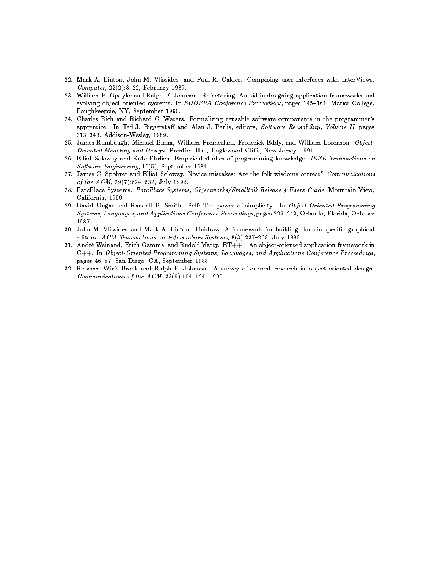- 22. Mark A. Linton, John M. Vlissides, and Paul R. Calder. Composing user interfaces with InterViews. Computer,  $22(2):8-22$ , February 1989.
- 23. William F. Opdyke and Ralph E. Johnson. Refactoring: An aid in designing application frameworks and evolving object-oriented systems. In SOOPPA Conference Proceedings, pages 145-161, Marist College, Poughkeepsie, NY, September 1990.
- 24. Charles Rich and Richard C. Waters. Formalizing reusable software components in the programmer's apprentice. In Ted J. Biggerstaff and Alan J. Perlis, editors, Software Reusability, Volume II, pages 313-343. Addison-Wesley, 1989.
- 25. James Rumbaugh, Michael Blaha, William Premerlani, Frederick Eddy, and William Lorenson. Object-Oriented Modeling and Design. Prentice Hall, Englewood Cliffs, New Jersey, 1991.
- 26. Elliot Soloway and Kate Ehrlich. Empirical studies of programming knowledge. IEEE Transactions on Software Engineering, 10(5), September 1984.
- 27. James C. Spohrer and Elliot Soloway. Novice mistakes: Are the folk wisdoms correct? Communications of the  $ACM$ , 29(7):624-632, July 1992.
- 28. ParcPlace Systems. ParcPlace Systems, Objectworks/Smalltalk Release 4 Users Guide. Mountain View, California, 1990.
- 29. David Ungar and Randall B. Smith. Self: The power of simplicity. In Object-Oriented Programming Systems, Languages, and Applications Conference Proceedings, pages 227-242, Orlando, Florida, October 1987.
- 30. John M. Vlissides and Mark A. Linton. Unidraw: A framework for building domain-specific graphical editors. ACM Transactions on Information Systems,  $8(3):237-268$ , July 1990.
- 31. André Weinand, Erich Gamma, and Rudolf Marty. ET++--An object-oriented application framework in C++. In Object-Oriented Programming Systems, Languages, and Applications Conference Proceedings, pages 46-57, San Diego, CA, September 1988.
- 32. Rebecca Wirfs-Brock and Ralph E. Johnson. A survey of current research in object-oriented design. Communications of the  $ACM$ ,  $33(9):104-124$ , 1990.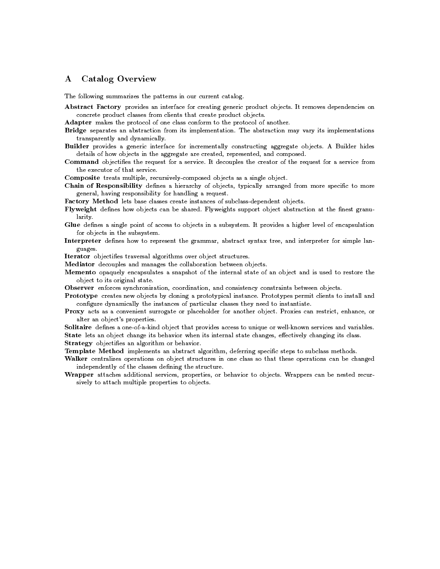## A Catalog Overview

The following summarizes the patterns in our current catalog.

- Abstract Factory provides an interface for creating generic product objects. It removes dependencies on concrete product classes from clients that create product objects.
- Adapter makes the protocol of one class conform to the protocol of another.
- Bridge separates an abstraction from its implementation. The abstraction may vary its implementations transparently and dynamically.
- Builder provides a generic interface for incrementally constructing aggregate objects. A Builder hides details of how objects in the aggregate are created, represented, and composed.
- Command objectifies the request for a service. It decouples the creator of the request for a service from the executor of that service.

Composite treats multiple, recursively-composed objects as a single object.

Chain of Responsibility defines a hierarchy of objects, typically arranged from more specific to more general, having responsibility for handling a request.

Factory Method lets base classes create instances of subclass-dependent objects.

- Flyweight defines how objects can be shared. Flyweights support object abstraction at the finest granularity.
- Glue defines a single point of access to objects in a subsystem. It provides a higher level of encapsulation for objects in the subsystem.
- Interpreter defines how to represent the grammar, abstract syntax tree, and interpreter for simple languages. guages.

Iterator objectifies traversal algorithms over object structures.

- Mediator decouples and manages the collaboration between objects.
- Memento opaquely encapsulates a snapshot of the internal state of an ob ject and is used to restore the ob ject to its original state.
- Observer enforces synchronization, coordination, and consistency constraints between objects.
- Prototype creates new objects by cloning a prototypical instance. Prototypes permit clients to install and configure dynamically the instances of particular classes they need to instantiate.
- Proxy acts as a convenient surrogate or placeholder for another object. Proxies can restrict, enhance, or alter an object's properties.
- Solitaire defines a one-of-a-kind object that provides access to unique or well-known services and variables. State lets an object change its behavior when its internal state changes, effectively changing its class. Strategy objectifies an algorithm or behavior.
- Template Method implements an abstract algorithm, deferring specific steps to subclass methods.
- Walker centralizes operations on object structures in one class so that these operations can be changed independently of the classes defining the structure.
- Wrapper attaches additional services, properties, or behavior to objects. Wrappers can be nested recursively to attach multiple properties to objects.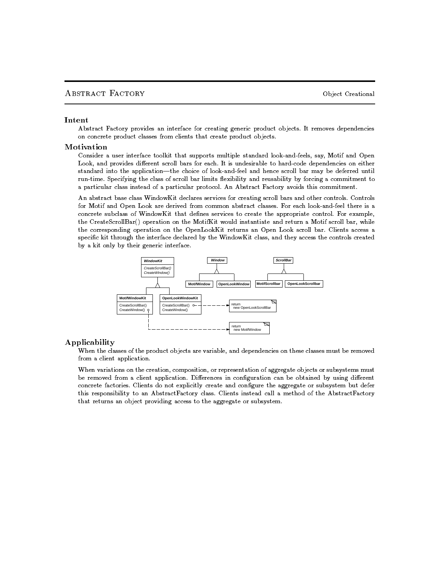Abstract Factory provides an interface for creating generic product ob jects. It removes dependencies on concrete product classes from clients that create product ob jects.

Consider a user interface toolkit that supports multiple standard look-and-feels, say, Motif and Open Look, and provides different scroll bars for each. It is undesirable to hard-code dependencies on either standard into the application-the choice of look-and-feel and hence scroll bar may be deferred until run-time. Specifying the class of scroll bar limits flexibility and reusability by forcing a commitment to a particular class instead of a particular protocol. An Abstract Factory avoids this commitment.

An abstract base class WindowKit declares services for creating scroll bars and other controls. Controls for Motif and Open Look are derived from common abstract classes. For each look-and-feel there is a concrete subclass of WindowKit that defines services to create the appropriate control. For example, the CreateScrollBar() operation on the MotifKit would instantiate and return a Motif scroll bar, while the corresponding operation on the OpenLookKit returns an Open Look scroll bar. Clients access a specic kit through the interface declared by the WindowKit class, and they access the controls created by a kit only by their generic interface.



#### Applicability

When the classes of the product objects are variable, and dependencies on these classes must be removed from a client application.

When variations on the creation, composition, or representation of aggregate objects or subsystems must be removed from a client application. Differences in configuration can be obtained by using different concrete factories. Clients do not explicitly create and congure the aggregate or subsystem but defer this responsibility to an AbstractFactory class. Clients instead call a method of the AbstractFactory that returns an object providing access to the aggregate or subsystem.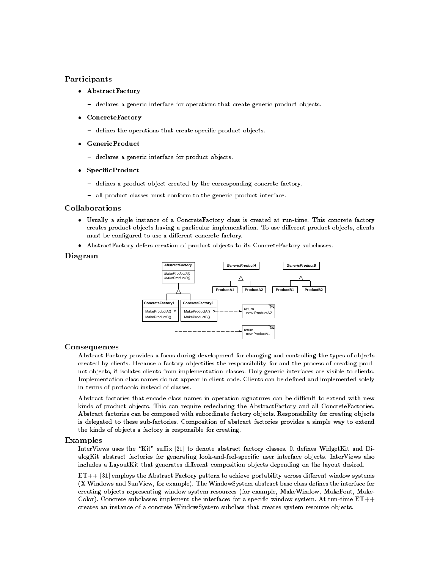## Participants

#### $\mathcal{A}$  and  $\mathcal{A}$  are the strain  $\mathcal{A}$

- declares a generic interface for operations that create generic product objects.
- concrete Factory of the concrete  $\mathcal{L}_{\mathcal{A}}$ 
	- defines the operations that create specific product objects.
- . Generic roduct
	- declares a generic interface for product objects.
- SpecicProduct
	- $-$  defines a product object created by the corresponding concrete factory.
	- all product classes must conform to the generic product interface.

#### Collaborations

- Usually a single instance of a ConcreteFactory class is created at run-time. This concrete factory creates product objects having a particular implementation. To use different product objects, clients must be configured to use a different concrete factory.
- AbstractFactory defers creation of product ob jects to its ConcreteFactory subclasses.

#### Diagram



#### Consequences

Abstract Factory provides a focus during development for changing and controlling the types of objects created by clients. Because a factory ob jecties the responsibility for and the process of creating product ob jects, it isolates clients from implementation classes. Only generic interfaces are visible to clients. Implementation class names do not appear in client code. Clients can be defined and implemented solely in terms of protocols instead of classes.

Abstract factories that encode class names in operation signatures can be difficult to extend with new kinds of product objects. This can require redeclaring the AbstractFactory and all ConcreteFactories. Abstract factories can be composed with subordinate factory objects. Responsibility for creating objects is delegated to these sub-factories. Composition of abstract factories provides a simple way to extend the kinds of objects a factory is responsible for creating.

#### Examples

InterViews uses the "Kit" suffix [21] to denote abstract factory classes. It defines WidgetKit and DialogKit abstract factories for generating look-and-feel-specific user interface objects. InterViews also includes a LayoutKit that generates different composition objects depending on the layout desired.

 $ET++$  [31] employs the Abstract Factory pattern to achieve portability across different window systems  $(X$  Windows and SunView, for example). The WindowSystem abstract base class defines the interface for creating ob jects representing window system resources (for example, MakeWindow, MakeFont, Make- Color). Concrete subclasses implement the interfaces for a specific window system. At run-time  $ET++$ creates an instance of a concrete WindowSystem subclass that creates system resource objects.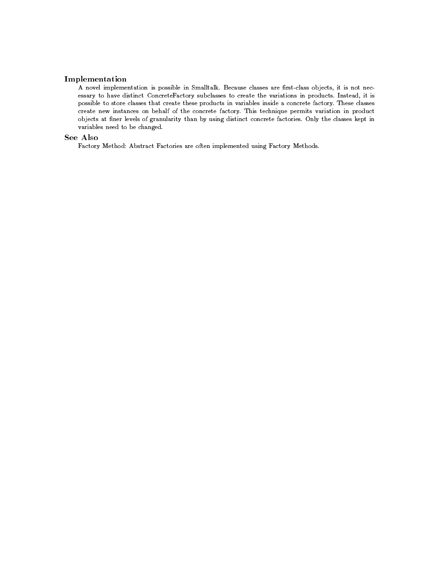## Implementation

A novel implementation is possible in Smalltalk. Because classes are first-class objects, it is not necessary to have distinct ConcreteFactory subclasses to create the variations in products. Instead, it is possible to store classes that create these products in variables inside a concrete factory. These classes create new instances on behalf of the concrete factory. This technique permits variation in product objects at finer levels of granularity than by using distinct concrete factories. Only the classes kept in variables need to be changed.

## See Also

Factory Method: Abstract Factories are often implemented using Factory Methods.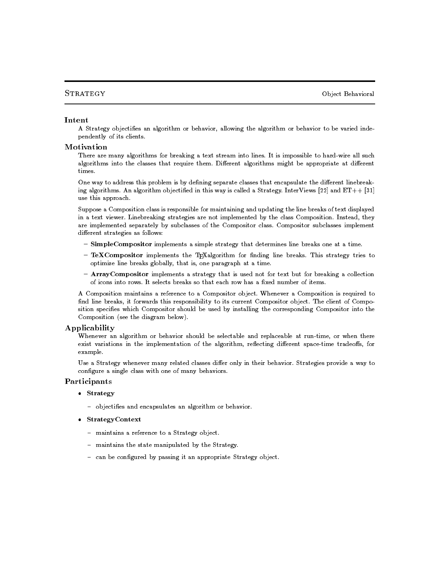#### Intent

A Strategy ob jecties an algorithm or behavior, allowing the algorithm or behavior to be varied independently of its clients.

There are many algorithms for breaking a text stream into lines. It is impossible to hard-wire all such algorithms into the classes that require them. Different algorithms might be appropriate at different times.

One way to address this problem is by defining separate classes that encapsulate the different linebreaking algorithms. An algorithm objectified in this way is called a Strategy. InterViews [22] and ET++ [31] use this approach.

Suppose a Composition class is responsible for maintaining and updating the line breaks of text displayed in a text viewer. Linebreaking strategies are not implemented by the class Composition. Instead, they are implemented separately by subclasses of the Compositor class. Compositor subclasses implement different strategies as follows:

- SimpleCompositor implements a simple strategy that determines line breaks one at a time.
- TeXCompositor implements the TEXalgorithm for finding line breaks. This strategy tries to optimize line breaks globally, that is, one paragraph at a time.
- { ArrayCompositor implements a strategy that is used not for text but for breaking a collection of icons into rows. It selects breaks so that each row has a fixed number of items.

A Composition maintains a reference to a Compositor ob ject. Whenever a Composition is required to find line breaks, it forwards this responsibility to its current Compositor object. The client of Composition species which Compositor should be used by installing the corresponding Compositor into the Composition (see the diagram below).

#### Applicability

Whenever an algorithm or behavior should be selectable and replaceable at run-time, or when there exist variations in the implementation of the algorithm, reflecting different space-time tradeoffs, for example.

Use a Strategy whenever many related classes differ only in their behavior. Strategies provide a way to configure a single class with one of many behaviors.

#### Participants

#### Strategy in the strategy of the strategy of the strategy of the strategy of the strategy of the strategy of the

- objectifies and encapsulates an algorithm or behavior.
- $S<sub>0</sub>$  strategy  $C<sub>0</sub>$  strategy  $C<sub>1</sub>$ 
	- maintains a reference to a Strategy object.
	- maintains the state manipulated by the Strategy.
	- $-$  can be configured by passing it an appropriate Strategy object.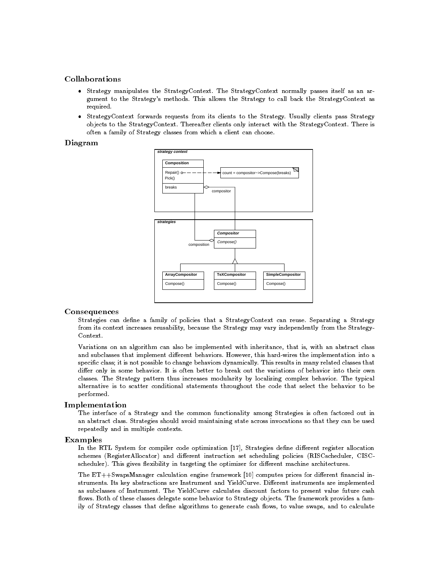### Collaborations

- Strategy manipulates the StrategyContext. The StrategyContext normally passes itself as an argument to the Strategy's methods. This allows the Strategy to call back the StrategyContext as required.
- StrategyContext forwards requests from its clients to the Strategy. Usually clients pass Strategy ob jects to the StrategyContext. Thereafter clients only interact with the StrategyContext. There is often a family of Strategy classes from which a client can choose.

### Diagram



#### Consequences

Strategies can define a family of policies that a StrategyContext can reuse. Separating a Strategy from its context increases reusability, because the Strategy may vary independently from the Strategy-Context.

Variations on an algorithm can also be implemented with inheritance, that is, with an abstract class and subclasses that implement different behaviors. However, this hard-wires the implementation into a specic class; it is not possible to change behaviors dynamically. This results in many related classes that differ only in some behavior. It is often better to break out the variations of behavior into their own classes. The Strategy pattern thus increases modularity by localizing complex behavior. The typical alternative is to scatter conditional statements throughout the code that select the behavior to be performed.

#### Implementation

The interface of a Strategy and the common functionality among Strategies is often factored out in an abstract class. Strategies should avoid maintaining state across invocations so that they can be used repeatedly and in multiple contexts.

#### Examples

In the RTL System for compiler code optimization [17], Strategies define different register allocation schemes (RegisterAllocator) and different instruction set scheduling policies (RISCscheduler, CISCscheduler). This gives flexibility in targeting the optimizer for different machine architectures.

The  $ET++S$ wapsManager calculation engine framework  $[10]$  computes prices for different financial instruments. Its key abstractions are Instrument and YieldCurve. Different instruments are implemented as subclasses of Instrument. The YieldCurve calculates discount factors to present value future cash flows. Both of these classes delegate some behavior to Strategy objects. The framework provides a family of Strategy classes that define algorithms to generate cash flows, to value swaps, and to calculate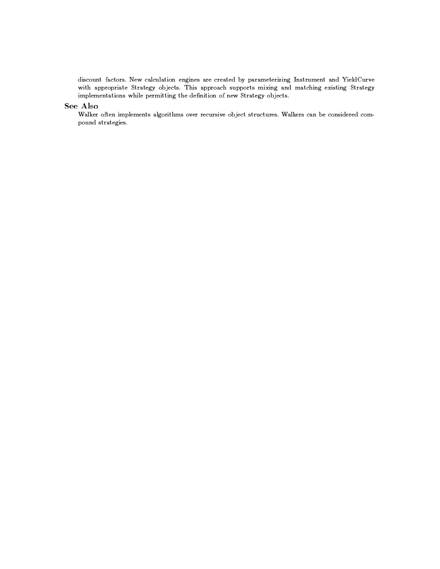discount factors. New calculation engines are created by parameterizing Instrument and YieldCurve with appropriate Strategy objects. This approach supports mixing and matching existing Strategy implementations while permitting the definition of new Strategy objects.

## See Also

Walker often implements algorithms over recursive object structures. Walkers can be considered compound strategies.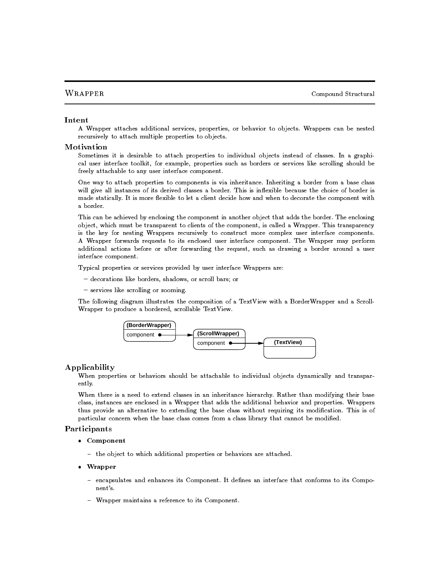#### Intent

A Wrapper attaches additional services, properties, or behavior to objects. Wrappers can be nested recursively to attach multiple properties to objects.

Sometimes it is desirable to attach properties to individual objects instead of classes. In a graphical user interface toolkit, for example, properties such as borders or services like scrolling should be freely attachable to any user interface component.

One way to attach properties to components is via inheritance. Inheriting a border from a base class will give all instances of its derived classes a border. This is in
exible because the choice of border is made statically. It is more flexible to let a client decide how and when to decorate the component with a border.

This can be achieved by enclosing the component in another object that adds the border. The enclosing ob ject, which must be transparent to clients of the component, is called a Wrapper. This transparency is the key for nesting Wrappers recursively to construct more complex user interface components. A Wrapper forwards requests to its enclosed user interface component. The Wrapper may perform additional actions before or after forwarding the request, such as drawing a border around a user interface component.

Typical properties or services provided by user interface Wrappers are:

- { decorations like borders, shadows, or scroll bars; or
- services like scrolling or zooming.

The following diagram illustrates the composition of a TextView with a BorderWrapper and a Scroll-Wrapper to produce a bordered, scrollable TextView.



#### Applicability

When properties or behaviors should be attachable to individual objects dynamically and transparently.

When there is a need to extend classes in an inheritance hierarchy. Rather than modifying their base class, instances are enclosed in a Wrapper that adds the additional behavior and properties. Wrappers thus provide an alternative to extending the base class without requiring its modication. This is of particular concern when the base class comes from a class library that cannot be modied.

#### Participants

#### . Component

- the object to which additional properties or behaviors are attached.
- $\cdots$ 
	- $-$  encapsulates and enhances its Component. It defines an interface that conforms to its Component's.
	- Wrapper maintains a reference to its Component.